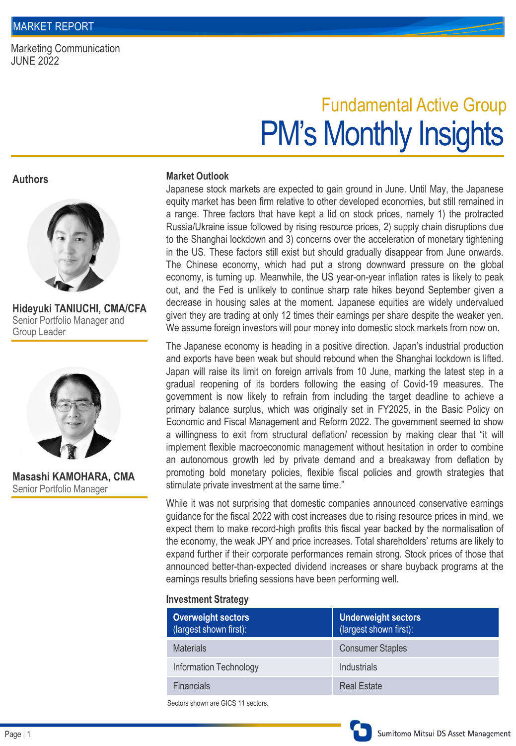Marketing Communication JUNE 2022

# PM's Monthly Insights Fundamental Active Group

**Authors**



**Hideyuki TANIUCHI, CMA/CFA** Senior Portfolio Manager and Group Leader



**Masashi KAMOHARA, CMA** Senior Portfolio Manager

#### **Market Outlook**

Japanese stock markets are expected to gain ground in June. Until May, the Japanese equity market has been firm relative to other developed economies, but still remained in a range. Three factors that have kept a lid on stock prices, namely 1) the protracted Russia/Ukraine issue followed by rising resource prices, 2) supply chain disruptions due to the Shanghai lockdown and 3) concerns over the acceleration of monetary tightening in the US. These factors still exist but should gradually disappear from June onwards. The Chinese economy, which had put a strong downward pressure on the global economy, is turning up. Meanwhile, the US year-on-year inflation rates is likely to peak out, and the Fed is unlikely to continue sharp rate hikes beyond September given a decrease in housing sales at the moment. Japanese equities are widely undervalued given they are trading at only 12 times their earnings per share despite the weaker yen. We assume foreign investors will pour money into domestic stock markets from now on.

The Japanese economy is heading in a positive direction. Japan's industrial production and exports have been weak but should rebound when the Shanghai lockdown is lifted. Japan will raise its limit on foreign arrivals from 10 June, marking the latest step in a gradual reopening of its borders following the easing of Covid-19 measures. The government is now likely to refrain from including the target deadline to achieve a primary balance surplus, which was originally set in FY2025, in the Basic Policy on Economic and Fiscal Management and Reform 2022. The government seemed to show a willingness to exit from structural deflation/ recession by making clear that "it will implement flexible macroeconomic management without hesitation in order to combine an autonomous growth led by private demand and a breakaway from deflation by promoting bold monetary policies, flexible fiscal policies and growth strategies that stimulate private investment at the same time."

While it was not surprising that domestic companies announced conservative earnings guidance for the fiscal 2022 with cost increases due to rising resource prices in mind, we expect them to make record-high profits this fiscal year backed by the normalisation of the economy, the weak JPY and price increases. Total shareholders' returns are likely to expand further if their corporate performances remain strong. Stock prices of those that announced better-than-expected dividend increases or share buyback programs at the earnings results briefing sessions have been performing well.

### **Investment Strategy**

| <b>Overweight sectors</b><br>(largest shown first): | <b>Underweight sectors</b><br>(largest shown first): |
|-----------------------------------------------------|------------------------------------------------------|
| <b>Materials</b>                                    | <b>Consumer Staples</b>                              |
| Information Technology                              | Industrials                                          |
| <b>Financials</b>                                   | <b>Real Estate</b>                                   |
|                                                     |                                                      |

Sectors shown are GICS 11 sectors.

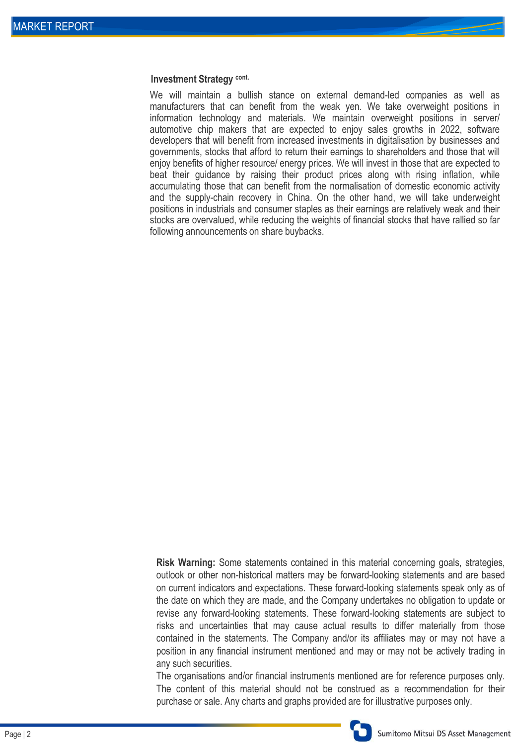#### **Investment Strategy cont.**

We will maintain a bullish stance on external demand-led companies as well as manufacturers that can benefit from the weak yen. We take overweight positions in information technology and materials. We maintain overweight positions in server/ automotive chip makers that are expected to enjoy sales growths in 2022, software developers that will benefit from increased investments in digitalisation by businesses and governments, stocks that afford to return their earnings to shareholders and those that will enjoy benefits of higher resource/ energy prices. We will invest in those that are expected to beat their guidance by raising their product prices along with rising inflation, while accumulating those that can benefit from the normalisation of domestic economic activity and the supply-chain recovery in China. On the other hand, we will take underweight positions in industrials and consumer staples as their earnings are relatively weak and their stocks are overvalued, while reducing the weights of financial stocks that have rallied so far following announcements on share buybacks.

**Risk Warning:** Some statements contained in this material concerning goals, strategies, outlook or other non-historical matters may be forward-looking statements and are based on current indicators and expectations. These forward-looking statements speak only as of the date on which they are made, and the Company undertakes no obligation to update or revise any forward-looking statements. These forward-looking statements are subject to risks and uncertainties that may cause actual results to differ materially from those contained in the statements. The Company and/or its affiliates may or may not have a position in any financial instrument mentioned and may or may not be actively trading in any such securities.

The organisations and/or financial instruments mentioned are for reference purposes only. The content of this material should not be construed as a recommendation for their purchase or sale. Any charts and graphs provided are for illustrative purposes only.